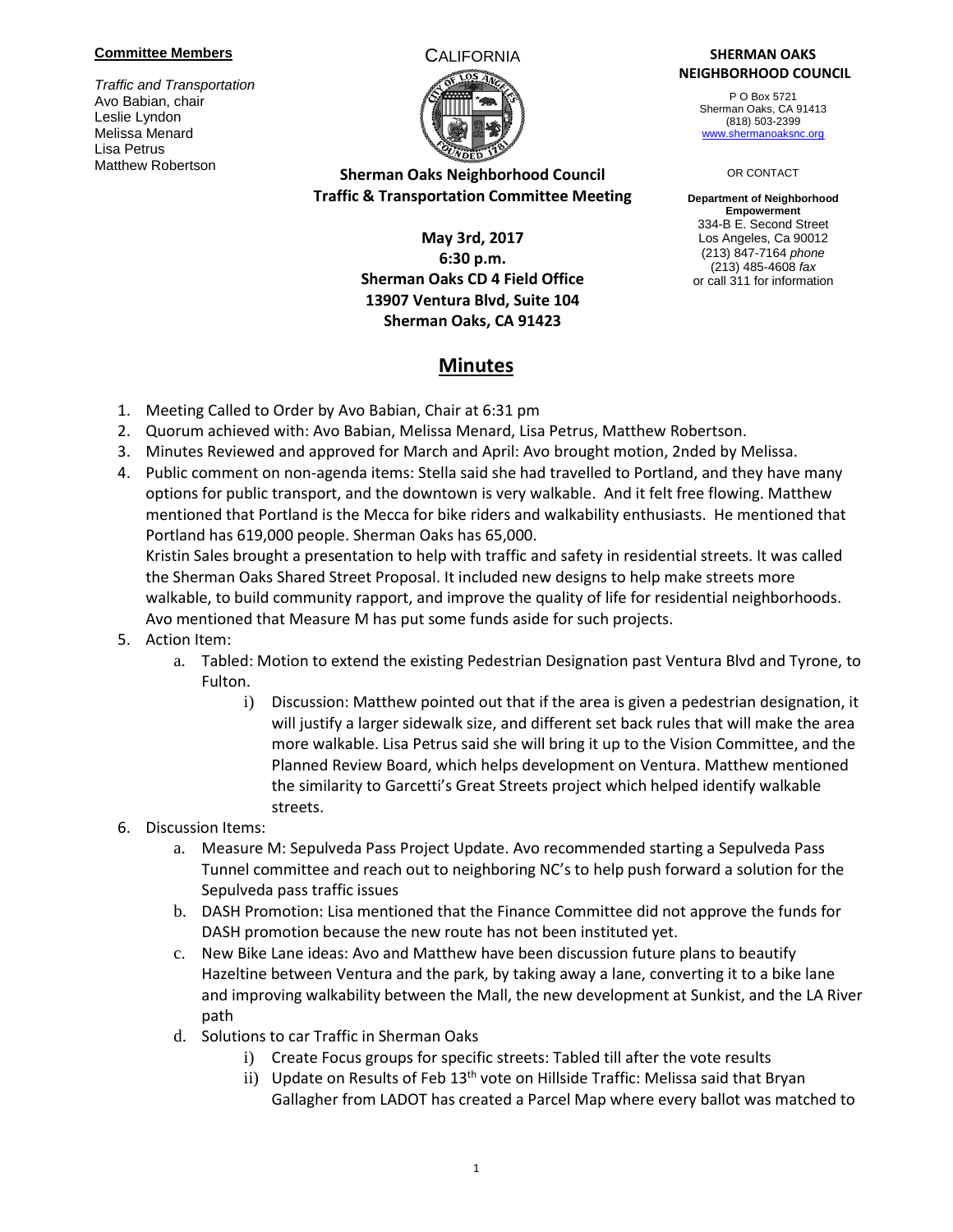#### **Committee Members**

*Traffic and Transportation* Avo Babian, chair Leslie Lyndon Melissa Menard Lisa Petrus Matthew Robertson



# **Sherman Oaks Neighborhood Council Traffic & Transportation Committee Meeting**

# **May 3rd, 2017 6:30 p.m. Sherman Oaks CD 4 Field Office 13907 Ventura Blvd, Suite 104 Sherman Oaks, CA 91423**

**Minutes**

### CALIFORNIA **SHERMAN OAKS NEIGHBORHOOD COUNCIL**

P O Box 5721 Sherman Oaks, CA 91413 (818) 503-2399 [www.shermanoaksnc.org](http://www.shermanoaksnc.org/)

#### OR CONTACT

**Department of Neighborhood Empowerment** 334-B E. Second Street Los Angeles, Ca 90012 (213) 847-7164 *phone* (213) 485-4608 *fax* or call 311 for information

### 1. Meeting Called to Order by Avo Babian, Chair at 6:31 pm

- 2. Quorum achieved with: Avo Babian, Melissa Menard, Lisa Petrus, Matthew Robertson.
- 3. Minutes Reviewed and approved for March and April: Avo brought motion, 2nded by Melissa.
- 4. Public comment on non-agenda items: Stella said she had travelled to Portland, and they have many options for public transport, and the downtown is very walkable. And it felt free flowing. Matthew mentioned that Portland is the Mecca for bike riders and walkability enthusiasts. He mentioned that Portland has 619,000 people. Sherman Oaks has 65,000.

Kristin Sales brought a presentation to help with traffic and safety in residential streets. It was called the Sherman Oaks Shared Street Proposal. It included new designs to help make streets more walkable, to build community rapport, and improve the quality of life for residential neighborhoods. Avo mentioned that Measure M has put some funds aside for such projects.

- 5. Action Item:
	- a. Tabled: Motion to extend the existing Pedestrian Designation past Ventura Blvd and Tyrone, to Fulton.
		- i) Discussion: Matthew pointed out that if the area is given a pedestrian designation, it will justify a larger sidewalk size, and different set back rules that will make the area more walkable. Lisa Petrus said she will bring it up to the Vision Committee, and the Planned Review Board, which helps development on Ventura. Matthew mentioned the similarity to Garcetti's Great Streets project which helped identify walkable streets.
- 6. Discussion Items:
	- a. Measure M: Sepulveda Pass Project Update. Avo recommended starting a Sepulveda Pass Tunnel committee and reach out to neighboring NC's to help push forward a solution for the Sepulveda pass traffic issues
	- b. DASH Promotion: Lisa mentioned that the Finance Committee did not approve the funds for DASH promotion because the new route has not been instituted yet.
	- c. New Bike Lane ideas: Avo and Matthew have been discussion future plans to beautify Hazeltine between Ventura and the park, by taking away a lane, converting it to a bike lane and improving walkability between the Mall, the new development at Sunkist, and the LA River path
	- d. Solutions to car Traffic in Sherman Oaks
		- i) Create Focus groups for specific streets: Tabled till after the vote results
		- ii) Update on Results of Feb  $13<sup>th</sup>$  vote on Hillside Traffic: Melissa said that Bryan Gallagher from LADOT has created a Parcel Map where every ballot was matched to